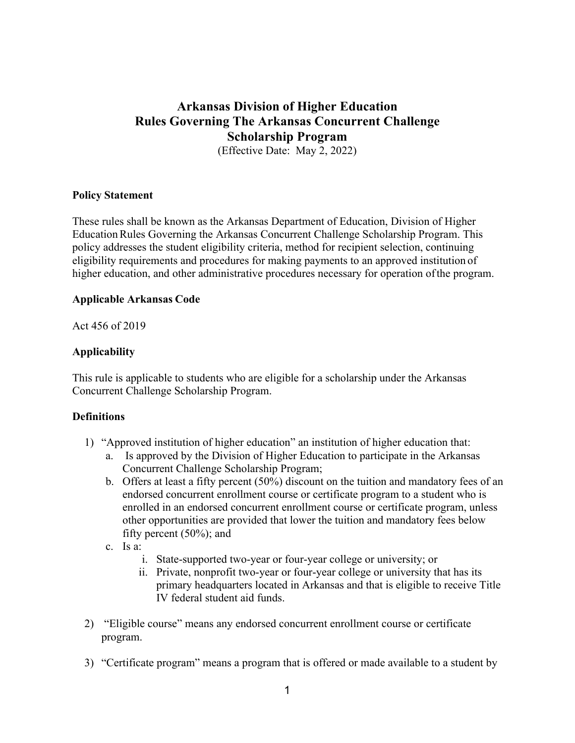# **Arkansas Division of Higher Education Rules Governing The Arkansas Concurrent Challenge Scholarship Program**

(Effective Date: May 2, 2022)

## **Policy Statement**

These rules shall be known as the Arkansas Department of Education, Division of Higher EducationRules Governing the Arkansas Concurrent Challenge Scholarship Program. This policy addresses the student eligibility criteria, method for recipient selection, continuing eligibility requirements and procedures for making payments to an approved institution of higher education, and other administrative procedures necessary for operation ofthe program.

#### **Applicable Arkansas Code**

Act 456 of 2019

## **Applicability**

This rule is applicable to students who are eligible for a scholarship under the Arkansas Concurrent Challenge Scholarship Program.

## **Definitions**

- 1) "Approved institution of higher education" an institution of higher education that:
	- a. Is approved by the Division of Higher Education to participate in the Arkansas Concurrent Challenge Scholarship Program;
	- b. Offers at least a fifty percent (50%) discount on the tuition and mandatory fees of an endorsed concurrent enrollment course or certificate program to a student who is enrolled in an endorsed concurrent enrollment course or certificate program, unless other opportunities are provided that lower the tuition and mandatory fees below fifty percent (50%); and
	- c. Is a:
		- i. State-supported two-year or four-year college or university; or
		- ii. Private, nonprofit two-year or four-year college or university that has its primary headquarters located in Arkansas and that is eligible to receive Title IV federal student aid funds.
- 2) "Eligible course" means any endorsed concurrent enrollment course or certificate program.
- 3) "Certificate program" means a program that is offered or made available to a student by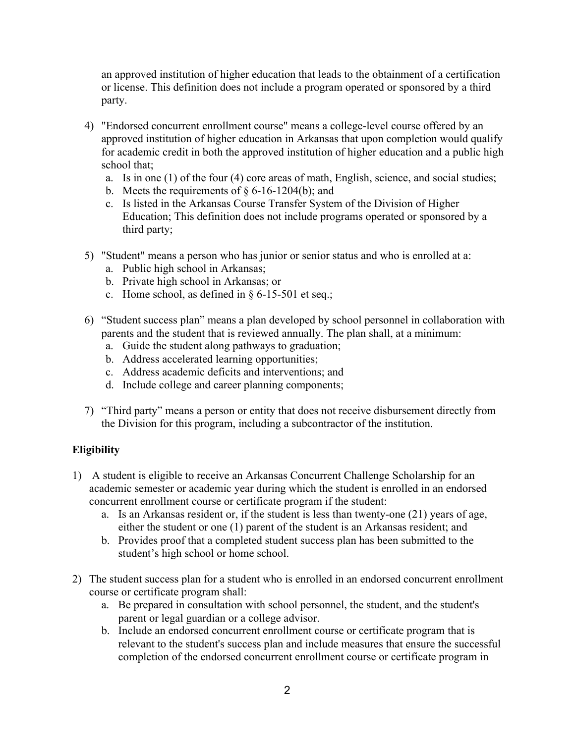an approved institution of higher education that leads to the obtainment of a certification or license. This definition does not include a program operated or sponsored by a third party.

- 4) "Endorsed concurrent enrollment course" means a college-level course offered by an approved institution of higher education in Arkansas that upon completion would qualify for academic credit in both the approved institution of higher education and a public high school that;
	- a. Is in one (1) of the four (4) core areas of math, English, science, and social studies;
	- b. Meets the requirements of  $\S 6$ -16-1204(b); and
	- c. Is listed in the Arkansas Course Transfer System of the Division of Higher Education; This definition does not include programs operated or sponsored by a third party;
- 5) "Student" means a person who has junior or senior status and who is enrolled at a:
	- a. Public high school in Arkansas;
	- b. Private high school in Arkansas; or
	- c. Home school, as defined in § 6-15-501 et seq.;
- 6) "Student success plan" means a plan developed by school personnel in collaboration with parents and the student that is reviewed annually. The plan shall, at a minimum:
	- a. Guide the student along pathways to graduation;
	- b. Address accelerated learning opportunities;
	- c. Address academic deficits and interventions; and
	- d. Include college and career planning components;
- 7) "Third party" means a person or entity that does not receive disbursement directly from the Division for this program, including a subcontractor of the institution.

## **Eligibility**

- 1) A student is eligible to receive an Arkansas Concurrent Challenge Scholarship for an academic semester or academic year during which the student is enrolled in an endorsed concurrent enrollment course or certificate program if the student:
	- a. Is an Arkansas resident or, if the student is less than twenty-one (21) years of age, either the student or one (1) parent of the student is an Arkansas resident; and
	- b. Provides proof that a completed student success plan has been submitted to the student's high school or home school.
- 2) The student success plan for a student who is enrolled in an endorsed concurrent enrollment course or certificate program shall:
	- a. Be prepared in consultation with school personnel, the student, and the student's parent or legal guardian or a college advisor.
	- b. Include an endorsed concurrent enrollment course or certificate program that is relevant to the student's success plan and include measures that ensure the successful completion of the endorsed concurrent enrollment course or certificate program in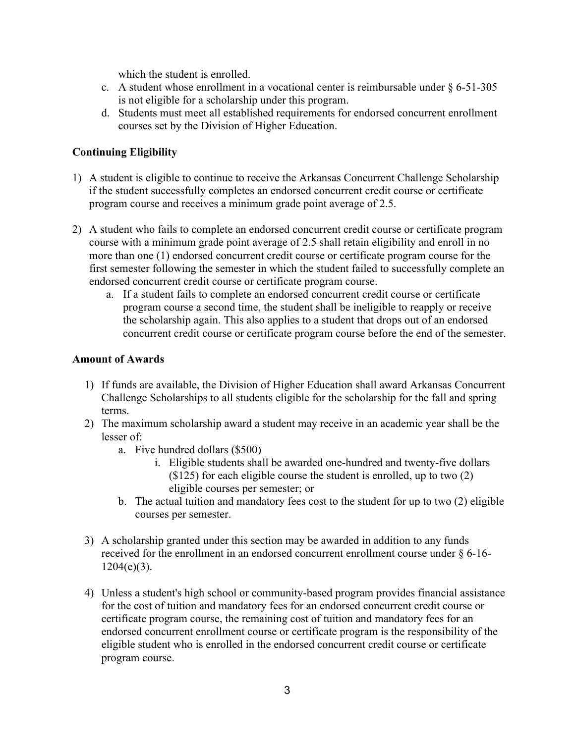which the student is enrolled.

- c. A student whose enrollment in a vocational center is reimbursable under  $\S 6-51-305$ is not eligible for a scholarship under this program.
- d. Students must meet all established requirements for endorsed concurrent enrollment courses set by the Division of Higher Education.

## **Continuing Eligibility**

- 1) A student is eligible to continue to receive the Arkansas Concurrent Challenge Scholarship if the student successfully completes an endorsed concurrent credit course or certificate program course and receives a minimum grade point average of 2.5.
- 2) A student who fails to complete an endorsed concurrent credit course or certificate program course with a minimum grade point average of 2.5 shall retain eligibility and enroll in no more than one (1) endorsed concurrent credit course or certificate program course for the first semester following the semester in which the student failed to successfully complete an endorsed concurrent credit course or certificate program course.
	- a. If a student fails to complete an endorsed concurrent credit course or certificate program course a second time, the student shall be ineligible to reapply or receive the scholarship again. This also applies to a student that drops out of an endorsed concurrent credit course or certificate program course before the end of the semester.

## **Amount of Awards**

- 1) If funds are available, the Division of Higher Education shall award Arkansas Concurrent Challenge Scholarships to all students eligible for the scholarship for the fall and spring terms.
- 2) The maximum scholarship award a student may receive in an academic year shall be the lesser of:
	- a. Five hundred dollars (\$500)
		- i. Eligible students shall be awarded one-hundred and twenty-five dollars (\$125) for each eligible course the student is enrolled, up to two (2) eligible courses per semester; or
	- b. The actual tuition and mandatory fees cost to the student for up to two (2) eligible courses per semester.
- 3) A scholarship granted under this section may be awarded in addition to any funds received for the enrollment in an endorsed concurrent enrollment course under § 6-16-  $1204(e)(3)$ .
- 4) Unless a student's high school or community-based program provides financial assistance for the cost of tuition and mandatory fees for an endorsed concurrent credit course or certificate program course, the remaining cost of tuition and mandatory fees for an endorsed concurrent enrollment course or certificate program is the responsibility of the eligible student who is enrolled in the endorsed concurrent credit course or certificate program course.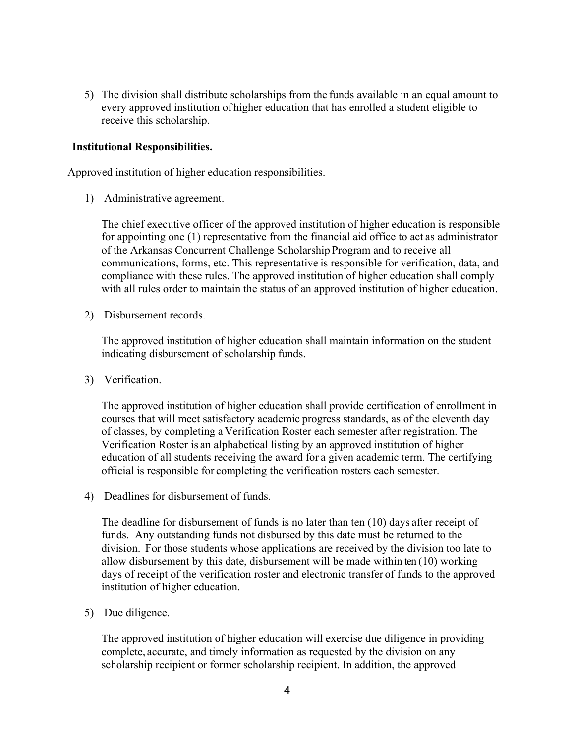5) The division shall distribute scholarships from the funds available in an equal amount to every approved institution of higher education that has enrolled a student eligible to receive this scholarship.

## **Institutional Responsibilities.**

Approved institution of higher education responsibilities.

1) Administrative agreement.

The chief executive officer of the approved institution of higher education is responsible for appointing one (1) representative from the financial aid office to act as administrator of the Arkansas Concurrent Challenge Scholarship Program and to receive all communications, forms, etc. This representative is responsible for verification, data, and compliance with these rules. The approved institution of higher education shall comply with all rules order to maintain the status of an approved institution of higher education.

2) Disbursement records.

The approved institution of higher education shall maintain information on the student indicating disbursement of scholarship funds.

3) Verification.

The approved institution of higher education shall provide certification of enrollment in courses that will meet satisfactory academic progress standards, as of the eleventh day of classes, by completing aVerification Roster each semester after registration. The Verification Roster is an alphabetical listing by an approved institution of higher education of all students receiving the award for a given academic term. The certifying official is responsible for completing the verification rosters each semester.

4) Deadlines for disbursement of funds.

The deadline for disbursement of funds is no later than ten (10) days after receipt of funds. Any outstanding funds not disbursed by this date must be returned to the division. For those students whose applications are received by the division too late to allow disbursement by this date, disbursement will be made within ten (10) working days of receipt of the verification roster and electronic transfer of funds to the approved institution of higher education.

5) Due diligence.

The approved institution of higher education will exercise due diligence in providing complete, accurate, and timely information as requested by the division on any scholarship recipient or former scholarship recipient. In addition, the approved